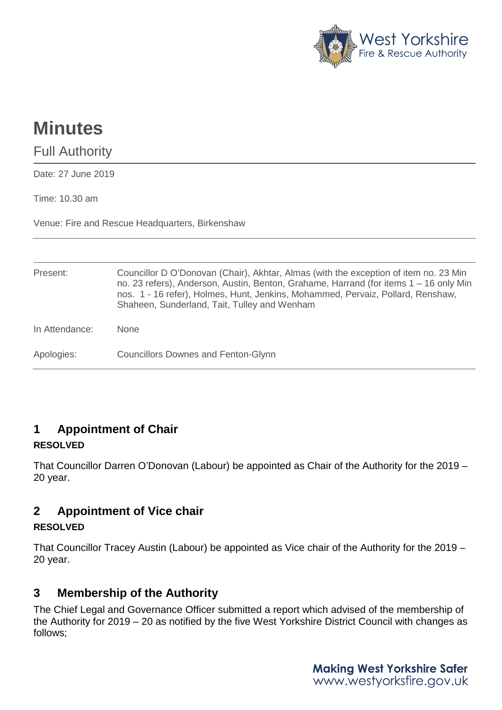

# **Minutes**

Full Authority

Date: 27 June 2019

Time: 10.30 am

Venue: Fire and Rescue Headquarters, Birkenshaw

| Present:       | Councillor D O'Donovan (Chair), Akhtar, Almas (with the exception of item no. 23 Min<br>no. 23 refers), Anderson, Austin, Benton, Grahame, Harrand (for items 1 – 16 only Min<br>nos. 1 - 16 refer), Holmes, Hunt, Jenkins, Mohammed, Pervaiz, Pollard, Renshaw,<br>Shaheen, Sunderland, Tait, Tulley and Wenham |
|----------------|------------------------------------------------------------------------------------------------------------------------------------------------------------------------------------------------------------------------------------------------------------------------------------------------------------------|
| In Attendance: | <b>None</b>                                                                                                                                                                                                                                                                                                      |
| Apologies:     | <b>Councillors Downes and Fenton-Glynn</b>                                                                                                                                                                                                                                                                       |

## **1 Appointment of Chair**

#### **RESOLVED**

That Councillor Darren O'Donovan (Labour) be appointed as Chair of the Authority for the 2019 – 20 year.

## **2 Appointment of Vice chair**

#### **RESOLVED**

That Councillor Tracey Austin (Labour) be appointed as Vice chair of the Authority for the 2019 – 20 year.

## **3 Membership of the Authority**

The Chief Legal and Governance Officer submitted a report which advised of the membership of the Authority for 2019 – 20 as notified by the five West Yorkshire District Council with changes as follows;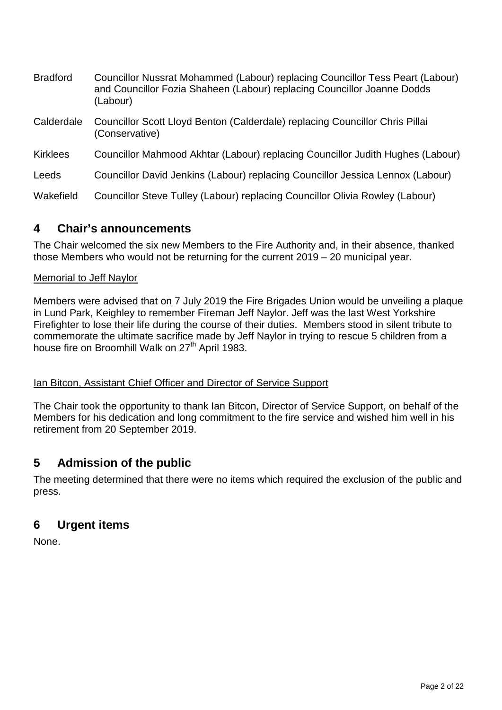| <b>Bradford</b> | Councillor Nussrat Mohammed (Labour) replacing Councillor Tess Peart (Labour)<br>and Councillor Fozia Shaheen (Labour) replacing Councillor Joanne Dodds<br>(Labour) |
|-----------------|----------------------------------------------------------------------------------------------------------------------------------------------------------------------|
| Calderdale      | Councillor Scott Lloyd Benton (Calderdale) replacing Councillor Chris Pillai<br>(Conservative)                                                                       |
| <b>Kirklees</b> | Councillor Mahmood Akhtar (Labour) replacing Councillor Judith Hughes (Labour)                                                                                       |
| Leeds           | Councillor David Jenkins (Labour) replacing Councillor Jessica Lennox (Labour)                                                                                       |
| Wakefield       | Councillor Steve Tulley (Labour) replacing Councillor Olivia Rowley (Labour)                                                                                         |

### **4 Chair's announcements**

The Chair welcomed the six new Members to the Fire Authority and, in their absence, thanked those Members who would not be returning for the current 2019 – 20 municipal year.

#### Memorial to Jeff Naylor

Members were advised that on 7 July 2019 the Fire Brigades Union would be unveiling a plaque in Lund Park, Keighley to remember Fireman Jeff Naylor. Jeff was the last West Yorkshire Firefighter to lose their life during the course of their duties. Members stood in silent tribute to commemorate the ultimate sacrifice made by Jeff Naylor in trying to rescue 5 children from a house fire on Broomhill Walk on 27<sup>th</sup> April 1983.

#### Ian Bitcon, Assistant Chief Officer and Director of Service Support

The Chair took the opportunity to thank Ian Bitcon, Director of Service Support, on behalf of the Members for his dedication and long commitment to the fire service and wished him well in his retirement from 20 September 2019.

## **5 Admission of the public**

The meeting determined that there were no items which required the exclusion of the public and press.

## **6 Urgent items**

None.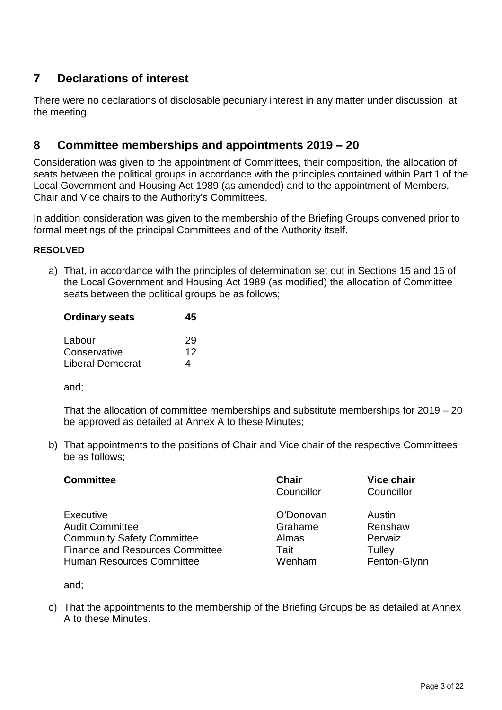## **7 Declarations of interest**

There were no declarations of disclosable pecuniary interest in any matter under discussion at the meeting.

## **8 Committee memberships and appointments 2019 – 20**

Consideration was given to the appointment of Committees, their composition, the allocation of seats between the political groups in accordance with the principles contained within Part 1 of the Local Government and Housing Act 1989 (as amended) and to the appointment of Members, Chair and Vice chairs to the Authority's Committees.

In addition consideration was given to the membership of the Briefing Groups convened prior to formal meetings of the principal Committees and of the Authority itself.

#### **RESOLVED**

a) That, in accordance with the principles of determination set out in Sections 15 and 16 of the Local Government and Housing Act 1989 (as modified) the allocation of Committee seats between the political groups be as follows;

| <b>Ordinary seats</b>   | 45 |
|-------------------------|----|
| Labour                  | 29 |
| Conservative            | 12 |
| <b>Liberal Democrat</b> | 4  |

and;

That the allocation of committee memberships and substitute memberships for 2019 – 20 be approved as detailed at Annex A to these Minutes;

b) That appointments to the positions of Chair and Vice chair of the respective Committees be as follows;

| <b>Committee</b>                           | <b>Chair</b><br>Councillor | <b>Vice chair</b><br>Councillor |
|--------------------------------------------|----------------------------|---------------------------------|
| <b>Executive</b><br><b>Audit Committee</b> | O'Donovan<br>Grahame       | Austin<br>Renshaw               |
| <b>Community Safety Committee</b>          | Almas                      | Pervaiz                         |
| <b>Finance and Resources Committee</b>     | Tait                       | Tulley                          |
| <b>Human Resources Committee</b>           | Wenham                     | Fenton-Glynn                    |

and;

c) That the appointments to the membership of the Briefing Groups be as detailed at Annex A to these Minutes.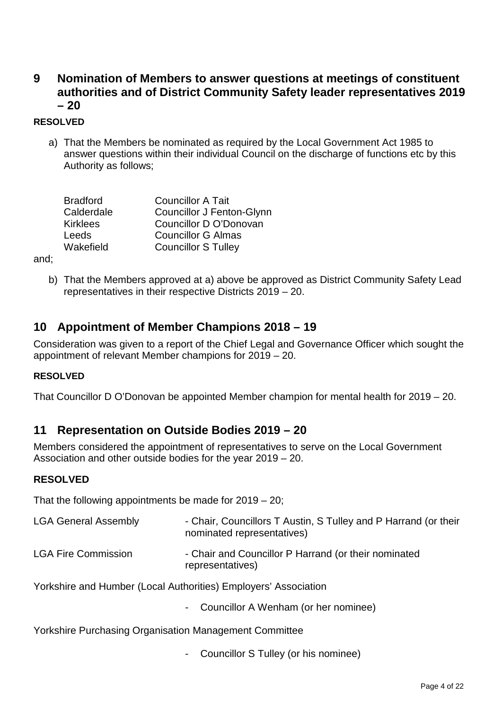## **9 Nomination of Members to answer questions at meetings of constituent authorities and of District Community Safety leader representatives 2019 – 20**

#### **RESOLVED**

a) That the Members be nominated as required by the Local Government Act 1985 to answer questions within their individual Council on the discharge of functions etc by this Authority as follows;

| <b>Councillor A Tait</b><br><b>Bradford</b>    |  |
|------------------------------------------------|--|
| Calderdale<br><b>Councillor J Fenton-Glynn</b> |  |
| Councillor D O'Donovan<br><b>Kirklees</b>      |  |
| <b>Councillor G Almas</b><br>Leeds             |  |
| Wakefield<br><b>Councillor S Tulley</b>        |  |

and;

b) That the Members approved at a) above be approved as District Community Safety Lead representatives in their respective Districts 2019 – 20.

### **10 Appointment of Member Champions 2018 – 19**

Consideration was given to a report of the Chief Legal and Governance Officer which sought the appointment of relevant Member champions for 2019 – 20.

#### **RESOLVED**

That Councillor D O'Donovan be appointed Member champion for mental health for 2019 – 20.

### **11 Representation on Outside Bodies 2019 – 20**

Members considered the appointment of representatives to serve on the Local Government Association and other outside bodies for the year 2019 – 20.

#### **RESOLVED**

That the following appointments be made for 2019 – 20;

| <b>LGA General Assembly</b> | - Chair, Councillors T Austin, S Tulley and P Harrand (or their<br>nominated representatives) |
|-----------------------------|-----------------------------------------------------------------------------------------------|
| <b>LGA Fire Commission</b>  | - Chair and Councillor P Harrand (or their nominated<br>representatives)                      |

Yorkshire and Humber (Local Authorities) Employers' Association

Councillor A Wenham (or her nominee)

Yorkshire Purchasing Organisation Management Committee

- Councillor S Tulley (or his nominee)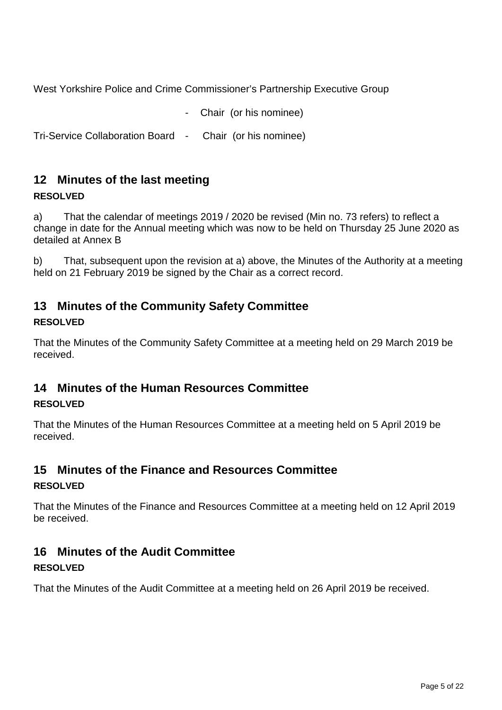West Yorkshire Police and Crime Commissioner's Partnership Executive Group

Chair (or his nominee)

Tri-Service Collaboration Board - Chair (or his nominee)

## **12 Minutes of the last meeting**

#### **RESOLVED**

a) That the calendar of meetings 2019 / 2020 be revised (Min no. 73 refers) to reflect a change in date for the Annual meeting which was now to be held on Thursday 25 June 2020 as detailed at Annex B

b) That, subsequent upon the revision at a) above, the Minutes of the Authority at a meeting held on 21 February 2019 be signed by the Chair as a correct record.

## **13 Minutes of the Community Safety Committee**

#### **RESOLVED**

That the Minutes of the Community Safety Committee at a meeting held on 29 March 2019 be received.

## **14 Minutes of the Human Resources Committee**

### **RESOLVED**

That the Minutes of the Human Resources Committee at a meeting held on 5 April 2019 be received.

#### **15 Minutes of the Finance and Resources Committee RESOLVED**

That the Minutes of the Finance and Resources Committee at a meeting held on 12 April 2019 be received.

## **16 Minutes of the Audit Committee**

### **RESOLVED**

That the Minutes of the Audit Committee at a meeting held on 26 April 2019 be received.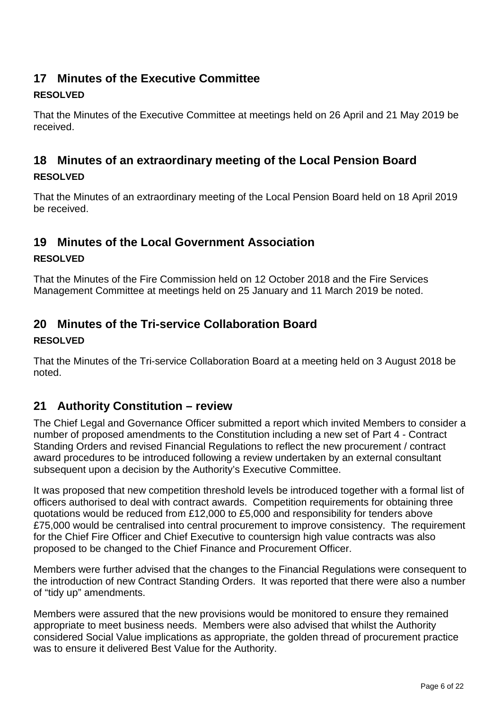## **17 Minutes of the Executive Committee**

### **RESOLVED**

That the Minutes of the Executive Committee at meetings held on 26 April and 21 May 2019 be received.

## **18 Minutes of an extraordinary meeting of the Local Pension Board**

#### **RESOLVED**

That the Minutes of an extraordinary meeting of the Local Pension Board held on 18 April 2019 be received.

## **19 Minutes of the Local Government Association**

#### **RESOLVED**

That the Minutes of the Fire Commission held on 12 October 2018 and the Fire Services Management Committee at meetings held on 25 January and 11 March 2019 be noted.

## **20 Minutes of the Tri-service Collaboration Board**

#### **RESOLVED**

That the Minutes of the Tri-service Collaboration Board at a meeting held on 3 August 2018 be noted.

## **21 Authority Constitution – review**

The Chief Legal and Governance Officer submitted a report which invited Members to consider a number of proposed amendments to the Constitution including a new set of Part 4 - Contract Standing Orders and revised Financial Regulations to reflect the new procurement / contract award procedures to be introduced following a review undertaken by an external consultant subsequent upon a decision by the Authority's Executive Committee.

It was proposed that new competition threshold levels be introduced together with a formal list of officers authorised to deal with contract awards. Competition requirements for obtaining three quotations would be reduced from £12,000 to £5,000 and responsibility for tenders above £75,000 would be centralised into central procurement to improve consistency. The requirement for the Chief Fire Officer and Chief Executive to countersign high value contracts was also proposed to be changed to the Chief Finance and Procurement Officer.

Members were further advised that the changes to the Financial Regulations were consequent to the introduction of new Contract Standing Orders. It was reported that there were also a number of "tidy up" amendments.

Members were assured that the new provisions would be monitored to ensure they remained appropriate to meet business needs. Members were also advised that whilst the Authority considered Social Value implications as appropriate, the golden thread of procurement practice was to ensure it delivered Best Value for the Authority.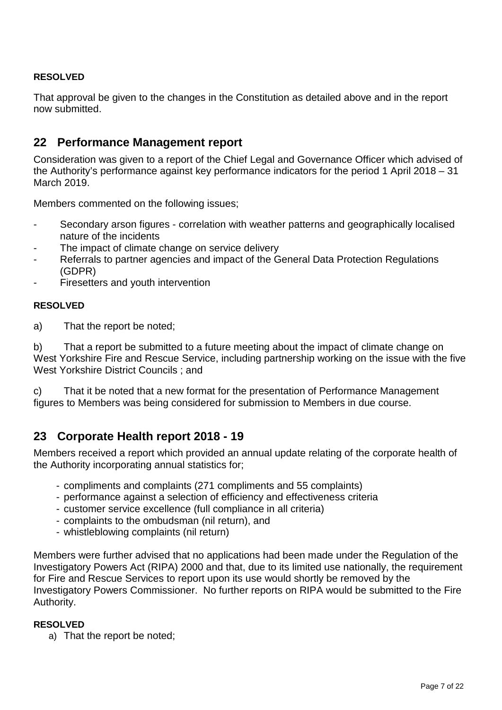#### **RESOLVED**

That approval be given to the changes in the Constitution as detailed above and in the report now submitted.

### **22 Performance Management report**

Consideration was given to a report of the Chief Legal and Governance Officer which advised of the Authority's performance against key performance indicators for the period 1 April 2018 – 31 March 2019.

Members commented on the following issues;

- Secondary arson figures correlation with weather patterns and geographically localised nature of the incidents
- The impact of climate change on service delivery
- Referrals to partner agencies and impact of the General Data Protection Regulations (GDPR)
- Firesetters and youth intervention

#### **RESOLVED**

a) That the report be noted;

b) That a report be submitted to a future meeting about the impact of climate change on West Yorkshire Fire and Rescue Service, including partnership working on the issue with the five West Yorkshire District Councils ; and

c) That it be noted that a new format for the presentation of Performance Management figures to Members was being considered for submission to Members in due course.

### **23 Corporate Health report 2018 - 19**

Members received a report which provided an annual update relating of the corporate health of the Authority incorporating annual statistics for;

- compliments and complaints (271 compliments and 55 complaints)
- performance against a selection of efficiency and effectiveness criteria
- customer service excellence (full compliance in all criteria)
- complaints to the ombudsman (nil return), and
- whistleblowing complaints (nil return)

Members were further advised that no applications had been made under the Regulation of the Investigatory Powers Act (RIPA) 2000 and that, due to its limited use nationally, the requirement for Fire and Rescue Services to report upon its use would shortly be removed by the Investigatory Powers Commissioner. No further reports on RIPA would be submitted to the Fire Authority.

#### **RESOLVED**

a) That the report be noted;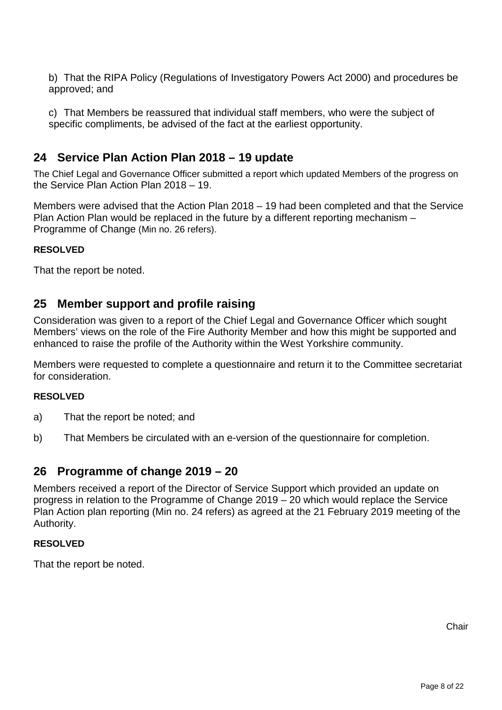b) That the RIPA Policy (Regulations of Investigatory Powers Act 2000) and procedures be approved; and

c) That Members be reassured that individual staff members, who were the subject of specific compliments, be advised of the fact at the earliest opportunity.

### **24 Service Plan Action Plan 2018 – 19 update**

The Chief Legal and Governance Officer submitted a report which updated Members of the progress on the Service Plan Action Plan 2018 – 19.

Members were advised that the Action Plan 2018 – 19 had been completed and that the Service Plan Action Plan would be replaced in the future by a different reporting mechanism – Programme of Change (Min no. 26 refers).

#### **RESOLVED**

That the report be noted.

### **25 Member support and profile raising**

Consideration was given to a report of the Chief Legal and Governance Officer which sought Members' views on the role of the Fire Authority Member and how this might be supported and enhanced to raise the profile of the Authority within the West Yorkshire community.

Members were requested to complete a questionnaire and return it to the Committee secretariat for consideration.

#### **RESOLVED**

- a) That the report be noted; and
- b) That Members be circulated with an e-version of the questionnaire for completion.

#### **26 Programme of change 2019 – 20**

Members received a report of the Director of Service Support which provided an update on progress in relation to the Programme of Change 2019 – 20 which would replace the Service Plan Action plan reporting (Min no. 24 refers) as agreed at the 21 February 2019 meeting of the Authority.

#### **RESOLVED**

That the report be noted.

**Chair**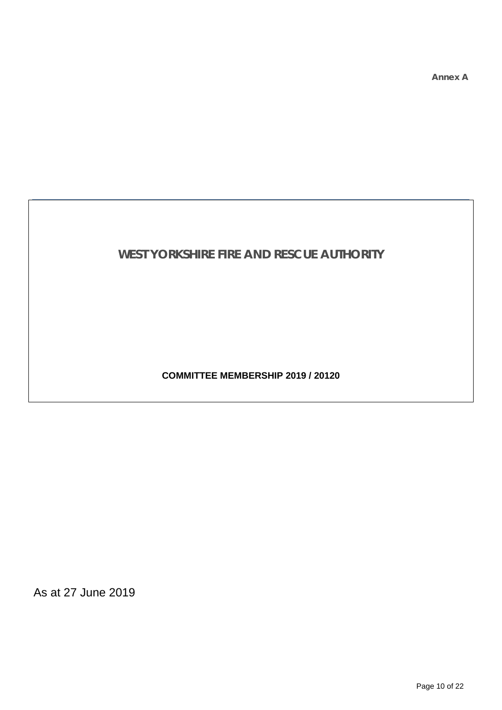**Annex A**

## **WEST YORKSHIRE FIRE AND RESCUE AUTHORITY**

**COMMITTEE MEMBERSHIP 2019 / 20120**

As at 27 June 2019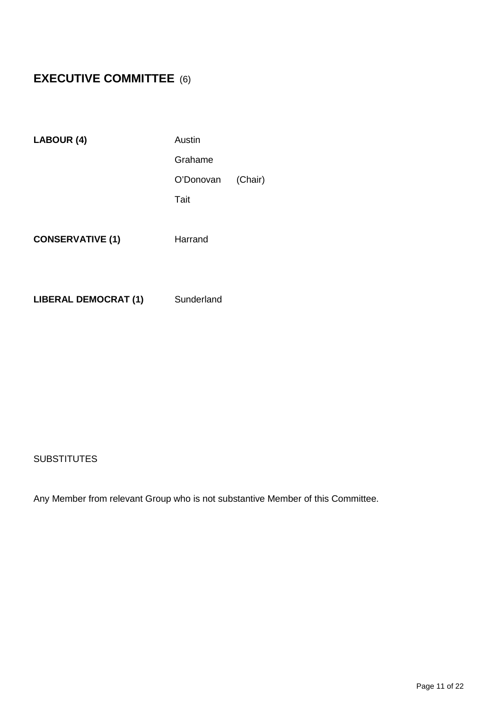## **EXECUTIVE COMMITTEE** (6)

| LABOUR (4)                  | Austin     |         |
|-----------------------------|------------|---------|
|                             | Grahame    |         |
|                             | O'Donovan  | (Chair) |
|                             | Tait       |         |
| <b>CONSERVATIVE (1)</b>     | Harrand    |         |
| <b>LIBERAL DEMOCRAT (1)</b> | Sunderland |         |

#### **SUBSTITUTES**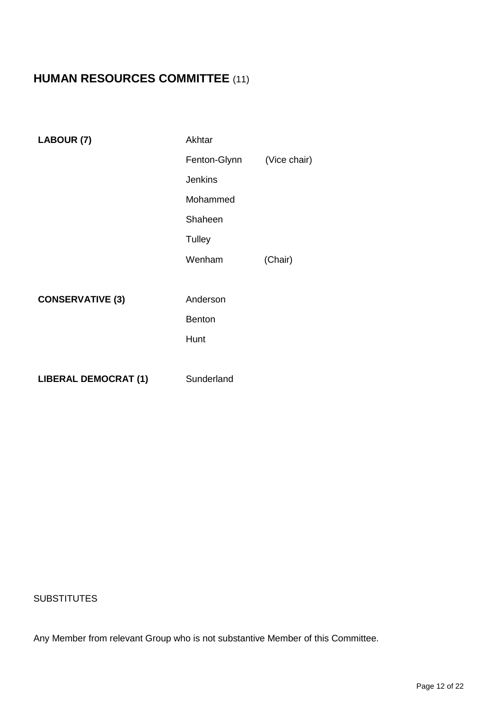## **HUMAN RESOURCES COMMITTEE** (11)

| LABOUR (7)                  | Akhtar         |              |
|-----------------------------|----------------|--------------|
|                             | Fenton-Glynn   | (Vice chair) |
|                             | <b>Jenkins</b> |              |
|                             | Mohammed       |              |
|                             | Shaheen        |              |
|                             | Tulley         |              |
|                             | Wenham         | (Chair)      |
|                             |                |              |
| <b>CONSERVATIVE (3)</b>     | Anderson       |              |
|                             | <b>Benton</b>  |              |
|                             | Hunt           |              |
|                             |                |              |
| <b>LIBERAL DEMOCRAT (1)</b> | Sunderland     |              |

#### **SUBSTITUTES**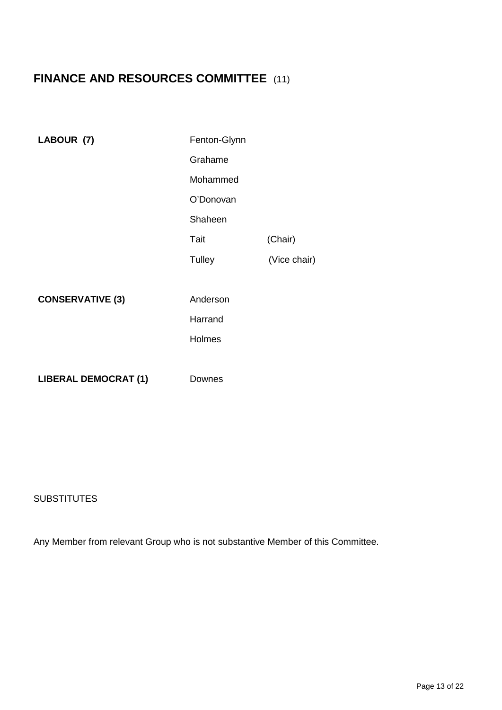## **FINANCE AND RESOURCES COMMITTEE** (11)

| LABOUR (7)                  | Fenton-Glynn |              |
|-----------------------------|--------------|--------------|
|                             | Grahame      |              |
|                             | Mohammed     |              |
|                             | O'Donovan    |              |
|                             | Shaheen      |              |
|                             | Tait         | (Chair)      |
|                             | Tulley       | (Vice chair) |
|                             |              |              |
| <b>CONSERVATIVE (3)</b>     | Anderson     |              |
|                             | Harrand      |              |
|                             | Holmes       |              |
|                             |              |              |
| <b>LIBERAL DEMOCRAT (1)</b> | Downes       |              |

#### **SUBSTITUTES**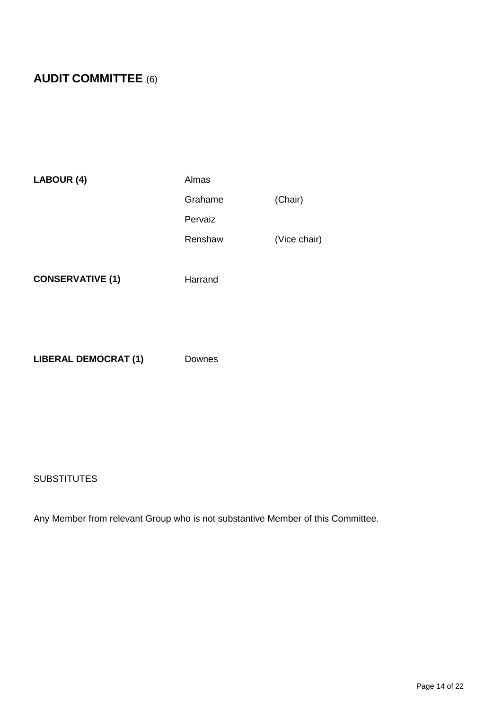## **AUDIT COMMITTEE** (6)

| LABOUR (4) | Almas   |              |
|------------|---------|--------------|
|            | Grahame | (Chair)      |
|            | Pervaiz |              |
|            | Renshaw | (Vice chair) |
|            |         |              |

**CONSERVATIVE (1)** Harrand

**LIBERAL DEMOCRAT (1)** Downes

#### **SUBSTITUTES**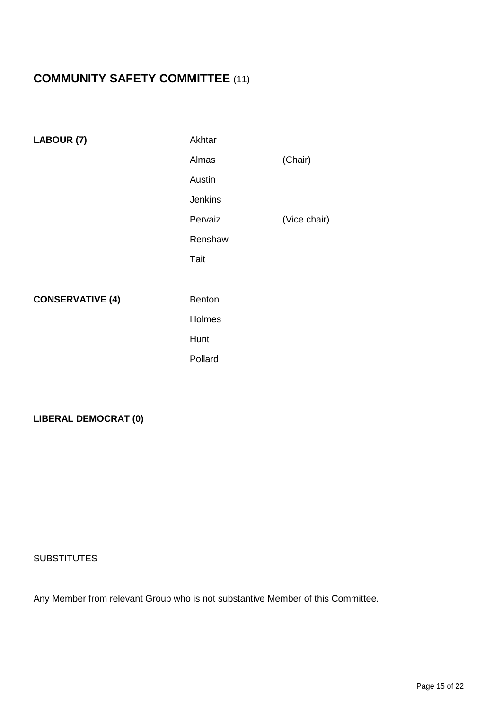## **COMMUNITY SAFETY COMMITTEE** (11)

| LABOUR (7)              | Akhtar         |              |
|-------------------------|----------------|--------------|
|                         | Almas          | (Chair)      |
|                         | Austin         |              |
|                         | <b>Jenkins</b> |              |
|                         | Pervaiz        | (Vice chair) |
|                         | Renshaw        |              |
|                         | Tait           |              |
|                         |                |              |
|                         |                |              |
| <b>CONSERVATIVE (4)</b> | <b>Benton</b>  |              |
|                         | Holmes         |              |
|                         | Hunt           |              |

#### **LIBERAL DEMOCRAT (0)**

#### **SUBSTITUTES**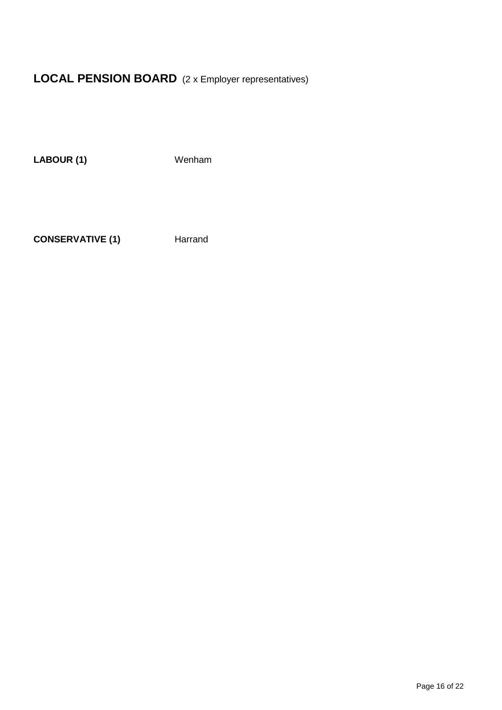## **LOCAL PENSION BOARD** (2 x Employer representatives)

LABOUR (1) Wenham

**CONSERVATIVE (1)** Harrand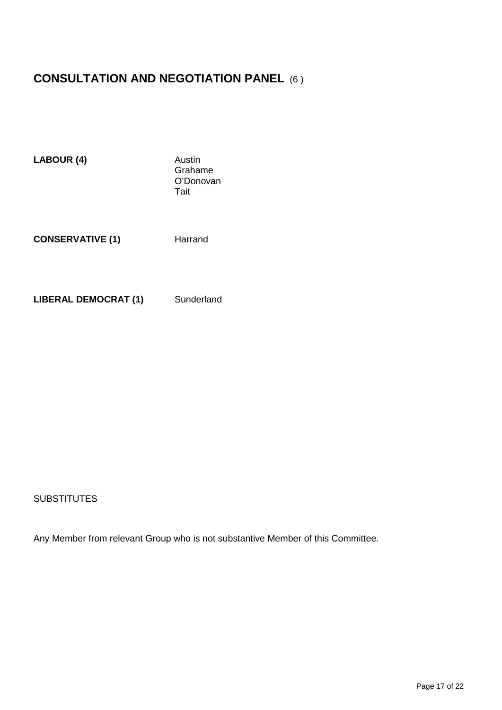## **CONSULTATION AND NEGOTIATION PANEL** (6 )

| LABOUR (4)                  | Austin<br>Grahame<br>O'Donovan<br>Tait |
|-----------------------------|----------------------------------------|
| <b>CONSERVATIVE (1)</b>     | Harrand                                |
| <b>LIBERAL DEMOCRAT (1)</b> | Sunderland                             |

#### **SUBSTITUTES**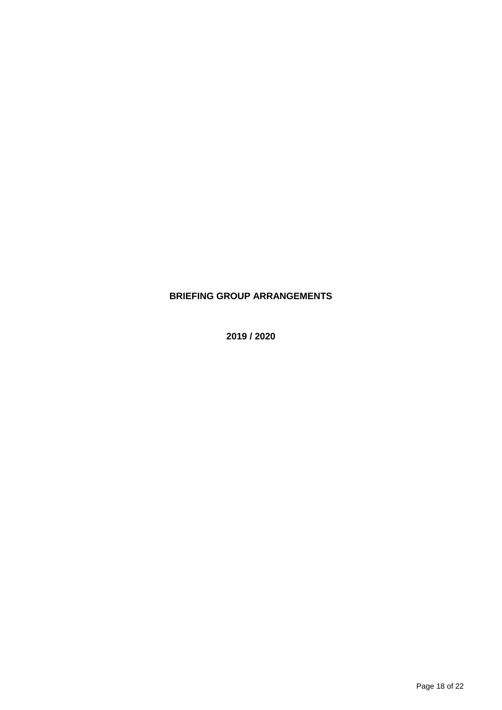### **BRIEFING GROUP ARRANGEMENTS**

**2019 / 2020**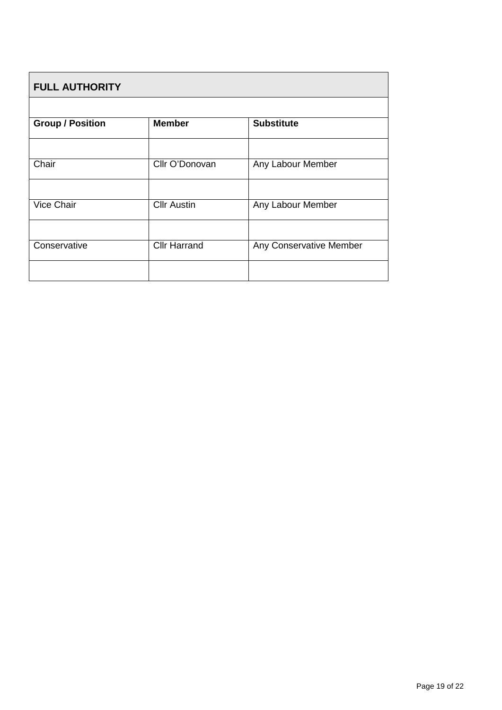| <b>FULL AUTHORITY</b>   |                     |                         |  |  |
|-------------------------|---------------------|-------------------------|--|--|
|                         |                     |                         |  |  |
| <b>Group / Position</b> | <b>Member</b>       | <b>Substitute</b>       |  |  |
|                         |                     |                         |  |  |
| Chair                   | Cllr O'Donovan      | Any Labour Member       |  |  |
|                         |                     |                         |  |  |
| Vice Chair              | <b>Cllr Austin</b>  | Any Labour Member       |  |  |
|                         |                     |                         |  |  |
| Conservative            | <b>Cllr Harrand</b> | Any Conservative Member |  |  |
|                         |                     |                         |  |  |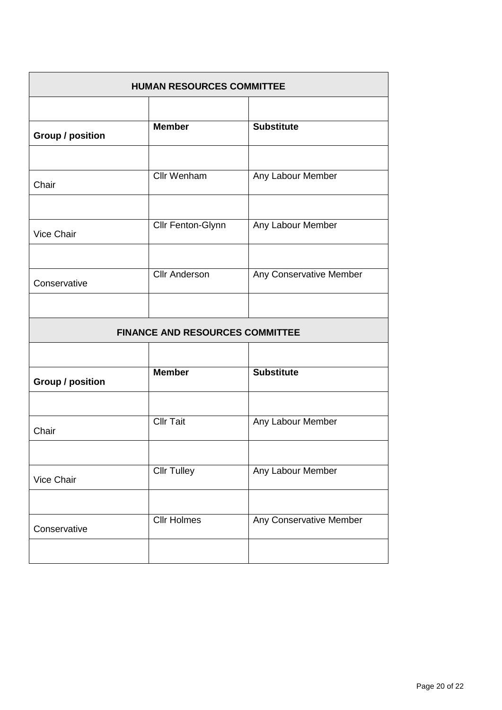| <b>HUMAN RESOURCES COMMITTEE</b> |                                        |                         |  |
|----------------------------------|----------------------------------------|-------------------------|--|
|                                  |                                        |                         |  |
| <b>Group / position</b>          | <b>Member</b>                          | <b>Substitute</b>       |  |
|                                  |                                        |                         |  |
| Chair                            | <b>Cllr Wenham</b>                     | Any Labour Member       |  |
|                                  |                                        |                         |  |
| Vice Chair                       | Cllr Fenton-Glynn                      | Any Labour Member       |  |
|                                  |                                        |                         |  |
| Conservative                     | <b>Cllr Anderson</b>                   | Any Conservative Member |  |
|                                  |                                        |                         |  |
|                                  | <b>FINANCE AND RESOURCES COMMITTEE</b> |                         |  |
|                                  |                                        |                         |  |
| <b>Group / position</b>          | <b>Member</b>                          | <b>Substitute</b>       |  |
|                                  |                                        |                         |  |
| Chair                            | <b>Cllr Tait</b>                       | Any Labour Member       |  |
|                                  |                                        |                         |  |
| Vice Chair                       | <b>Cllr Tulley</b>                     | Any Labour Member       |  |
|                                  |                                        |                         |  |
| Conservative                     | <b>Cllr Holmes</b>                     | Any Conservative Member |  |
|                                  |                                        |                         |  |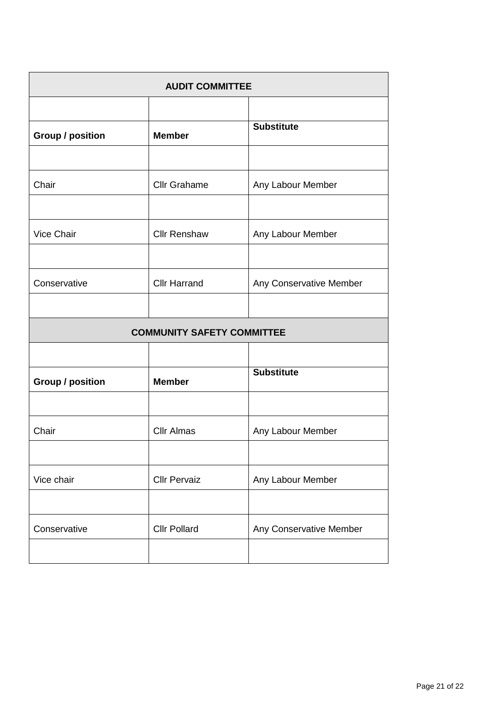| <b>AUDIT COMMITTEE</b>  |                                   |                         |  |
|-------------------------|-----------------------------------|-------------------------|--|
|                         |                                   |                         |  |
| <b>Group / position</b> | <b>Member</b>                     | <b>Substitute</b>       |  |
|                         |                                   |                         |  |
| Chair                   | <b>Cllr Grahame</b>               | Any Labour Member       |  |
|                         |                                   |                         |  |
| Vice Chair              | <b>Cllr Renshaw</b>               | Any Labour Member       |  |
|                         |                                   |                         |  |
| Conservative            | <b>Cllr Harrand</b>               | Any Conservative Member |  |
|                         |                                   |                         |  |
|                         | <b>COMMUNITY SAFETY COMMITTEE</b> |                         |  |
|                         |                                   |                         |  |
| <b>Group / position</b> | <b>Member</b>                     | <b>Substitute</b>       |  |
|                         |                                   |                         |  |
| Chair                   | <b>Cllr Almas</b>                 | Any Labour Member       |  |
|                         |                                   |                         |  |
| Vice chair              | <b>Cllr Pervaiz</b>               | Any Labour Member       |  |
|                         |                                   |                         |  |
| Conservative            | <b>Cllr Pollard</b>               | Any Conservative Member |  |
|                         |                                   |                         |  |